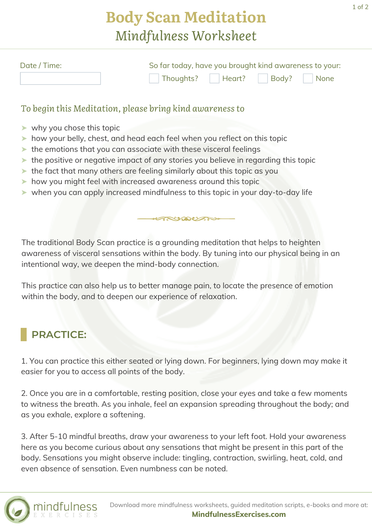# **Body Scan Meditation** *Mindfulness Worksheet*

| Date / Time: |                             | So far today, have you brought kind awareness to your: |  |  |  |
|--------------|-----------------------------|--------------------------------------------------------|--|--|--|
|              | Thoughts? Heart? Body? None |                                                        |  |  |  |

#### *To begin this Meditation, please bring kind awareness to*

- ➤ why you chose this topic
- ➤ how your belly, chest, and head each feel when you reflect on this topic
- ➤ the emotions that you can associate with these visceral feelings
- ➤ the positive or negative impact of any stories you believe in regarding this topic
- ➤ the fact that many others are feeling similarly about this topic as you
- ➤ how you might feel with increased awareness around this topic
- ➤ when you can apply increased mindfulness to this topic in your day-to-day life

The traditional Body Scan practice is a grounding meditation that helps to heighten awareness of visceral sensations within the body. By tuning into our physical being in an intentional way, we deepen the mind-body connection.

AND MORROW

This practice can also help us to better manage pain, to locate the presence of emotion within the body, and to deepen our experience of relaxation.

### **PRACTICE:**

1. You can practice this either seated or lying down. For beginners, lying down may make it easier for you to access all points of the body.

2. Once you are in a comfortable, resting position, close your eyes and take a few moments to witness the breath. As you inhale, feel an expansion spreading throughout the body; and as you exhale, explore a softening.

3. After 5-10 mindful breaths, draw your awareness to your left foot. Hold your awareness here as you become curious about any sensations that might be present in this part of the body. Sensations you might observe include: tingling, contraction, swirling, heat, cold, and even absence of sensation. Even numbness can be noted.